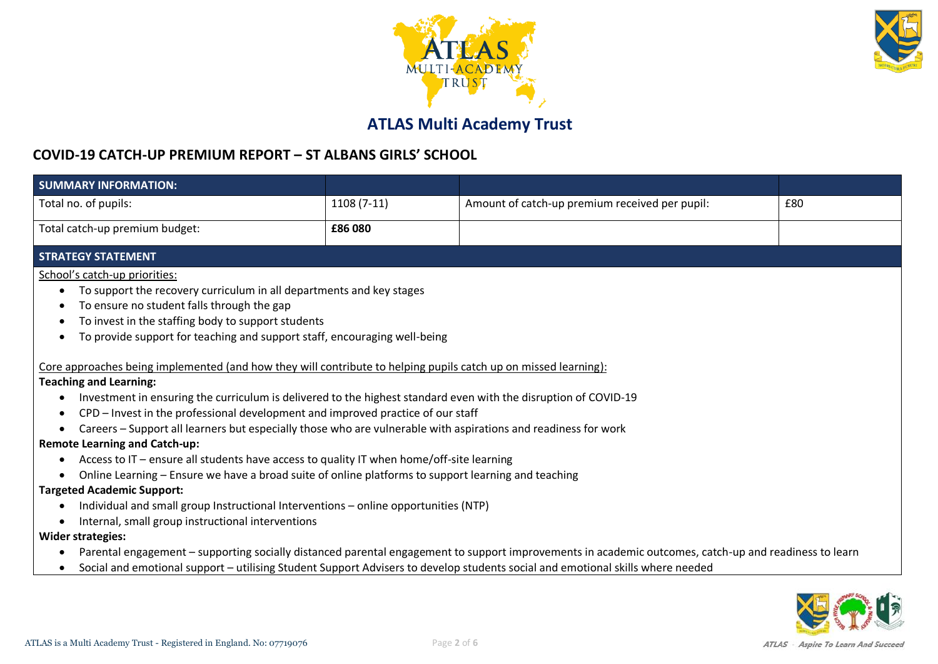



# **ATLAS Multi Academy Trust**

#### **COVID-19 CATCH-UP PREMIUM REPORT – ST ALBANS GIRLS' SCHOOL**

| <b>SUMMARY INFORMATION:</b>                                                                                                                                                                                                                                                                                                                                                                                            |                                                                                                                                                       |                                                |     |  |  |
|------------------------------------------------------------------------------------------------------------------------------------------------------------------------------------------------------------------------------------------------------------------------------------------------------------------------------------------------------------------------------------------------------------------------|-------------------------------------------------------------------------------------------------------------------------------------------------------|------------------------------------------------|-----|--|--|
| Total no. of pupils:                                                                                                                                                                                                                                                                                                                                                                                                   | $1108(7-11)$                                                                                                                                          | Amount of catch-up premium received per pupil: | £80 |  |  |
| Total catch-up premium budget:                                                                                                                                                                                                                                                                                                                                                                                         | £86 080                                                                                                                                               |                                                |     |  |  |
| <b>STRATEGY STATEMENT</b>                                                                                                                                                                                                                                                                                                                                                                                              |                                                                                                                                                       |                                                |     |  |  |
| School's catch-up priorities:<br>To support the recovery curriculum in all departments and key stages<br>$\bullet$<br>To ensure no student falls through the gap<br>To invest in the staffing body to support students<br>To provide support for teaching and support staff, encouraging well-being<br>Core approaches being implemented (and how they will contribute to helping pupils catch up on missed learning): |                                                                                                                                                       |                                                |     |  |  |
| <b>Teaching and Learning:</b>                                                                                                                                                                                                                                                                                                                                                                                          |                                                                                                                                                       |                                                |     |  |  |
| Investment in ensuring the curriculum is delivered to the highest standard even with the disruption of COVID-19                                                                                                                                                                                                                                                                                                        |                                                                                                                                                       |                                                |     |  |  |
| CPD - Invest in the professional development and improved practice of our staff                                                                                                                                                                                                                                                                                                                                        |                                                                                                                                                       |                                                |     |  |  |
| Careers - Support all learners but especially those who are vulnerable with aspirations and readiness for work                                                                                                                                                                                                                                                                                                         |                                                                                                                                                       |                                                |     |  |  |
| <b>Remote Learning and Catch-up:</b>                                                                                                                                                                                                                                                                                                                                                                                   |                                                                                                                                                       |                                                |     |  |  |
| Access to IT - ensure all students have access to quality IT when home/off-site learning<br>$\bullet$                                                                                                                                                                                                                                                                                                                  |                                                                                                                                                       |                                                |     |  |  |
| Online Learning - Ensure we have a broad suite of online platforms to support learning and teaching                                                                                                                                                                                                                                                                                                                    |                                                                                                                                                       |                                                |     |  |  |
| <b>Targeted Academic Support:</b>                                                                                                                                                                                                                                                                                                                                                                                      |                                                                                                                                                       |                                                |     |  |  |
| Individual and small group Instructional Interventions - online opportunities (NTP)                                                                                                                                                                                                                                                                                                                                    |                                                                                                                                                       |                                                |     |  |  |
| Internal, small group instructional interventions                                                                                                                                                                                                                                                                                                                                                                      |                                                                                                                                                       |                                                |     |  |  |
| <b>Wider strategies:</b>                                                                                                                                                                                                                                                                                                                                                                                               |                                                                                                                                                       |                                                |     |  |  |
| ٠                                                                                                                                                                                                                                                                                                                                                                                                                      | Parental engagement - supporting socially distanced parental engagement to support improvements in academic outcomes, catch-up and readiness to learn |                                                |     |  |  |
| Social and emotional support - utilising Student Support Advisers to develop students social and emotional skills where needed<br>$\bullet$                                                                                                                                                                                                                                                                            |                                                                                                                                                       |                                                |     |  |  |

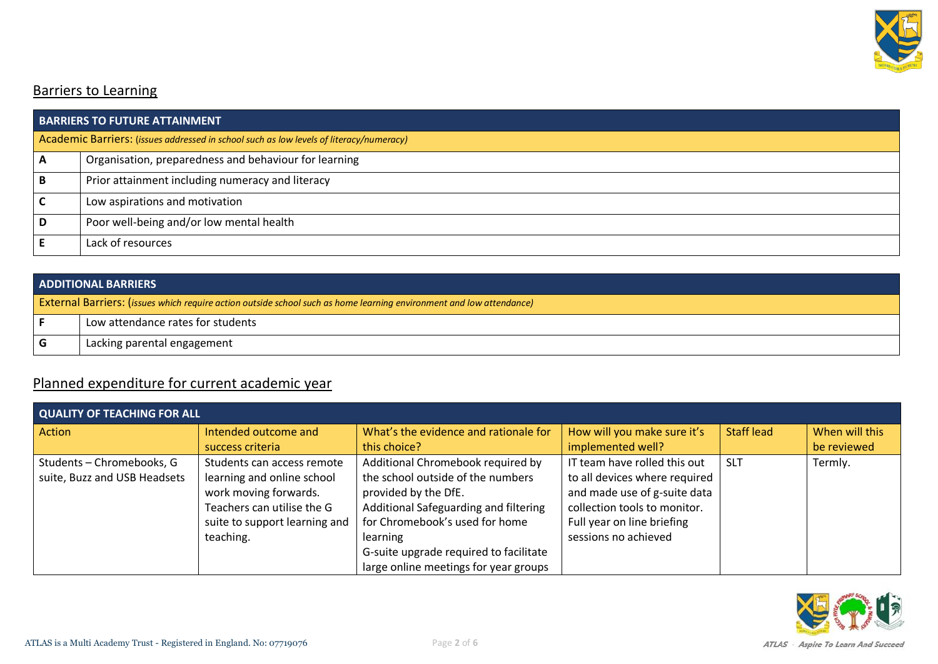

### Barriers to Learning

| <b>BARRIERS TO FUTURE ATTAINMENT</b>                                                    |                                                       |  |  |
|-----------------------------------------------------------------------------------------|-------------------------------------------------------|--|--|
| Academic Barriers: (issues addressed in school such as low levels of literacy/numeracy) |                                                       |  |  |
| A                                                                                       | Organisation, preparedness and behaviour for learning |  |  |
| B                                                                                       | Prior attainment including numeracy and literacy      |  |  |
|                                                                                         | Low aspirations and motivation                        |  |  |
| D                                                                                       | Poor well-being and/or low mental health              |  |  |
|                                                                                         | Lack of resources                                     |  |  |

| <b>ADDITIONAL BARRIERS</b> |                                                                                                                             |  |  |
|----------------------------|-----------------------------------------------------------------------------------------------------------------------------|--|--|
|                            | <b>External Barriers:</b> (issues which require action outside school such as home learning environment and low attendance) |  |  |
|                            | Low attendance rates for students                                                                                           |  |  |
| l G                        | Lacking parental engagement                                                                                                 |  |  |

## Planned expenditure for current academic year

| <b>QUALITY OF TEACHING FOR ALL</b> |                               |                                        |                               |                 |                |  |
|------------------------------------|-------------------------------|----------------------------------------|-------------------------------|-----------------|----------------|--|
| Action                             | Intended outcome and          | What's the evidence and rationale for  | How will you make sure it's   |                 | When will this |  |
|                                    | success criteria              | this choice?                           | implemented well?             |                 | be reviewed    |  |
| Students - Chromebooks, G          | Students can access remote    | Additional Chromebook required by      | IT team have rolled this out  | SL <sub>1</sub> | Termly.        |  |
| suite, Buzz and USB Headsets       | learning and online school    | the school outside of the numbers      | to all devices where required |                 |                |  |
|                                    | work moving forwards.         | provided by the DfE.                   | and made use of g-suite data  |                 |                |  |
|                                    | Teachers can utilise the G    | Additional Safeguarding and filtering  | collection tools to monitor.  |                 |                |  |
|                                    | suite to support learning and | for Chromebook's used for home         | Full year on line briefing    |                 |                |  |
|                                    | teaching.                     | learning                               | sessions no achieved          |                 |                |  |
|                                    |                               | G-suite upgrade required to facilitate |                               |                 |                |  |
|                                    |                               | large online meetings for year groups  |                               |                 |                |  |

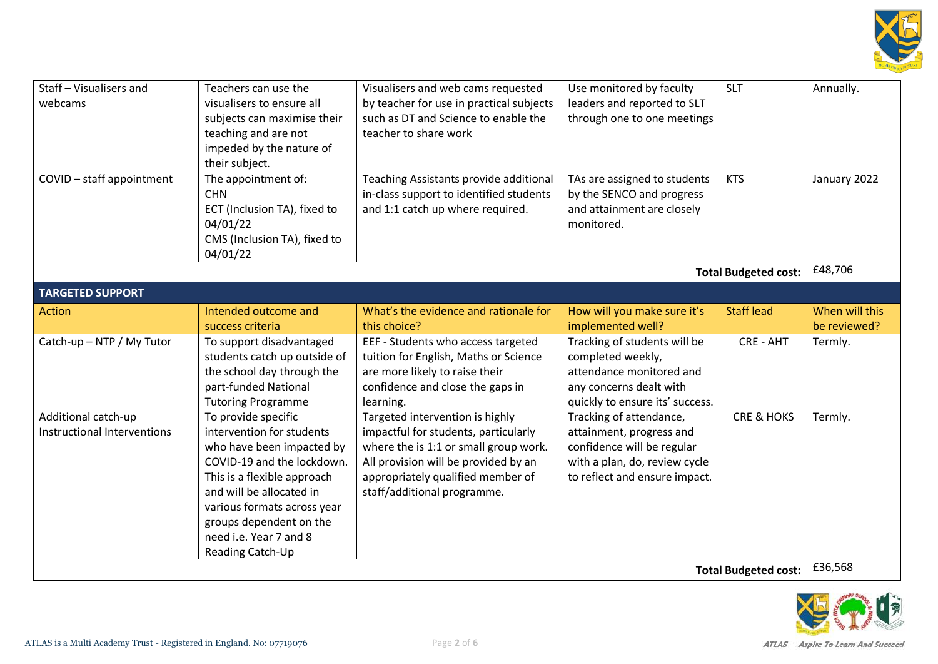

| Staff - Visualisers and<br>webcams                 | Teachers can use the<br>visualisers to ensure all<br>subjects can maximise their<br>teaching and are not<br>impeded by the nature of<br>their subject.                                                                                                                         | Visualisers and web cams requested<br>Use monitored by faculty<br>by teacher for use in practical subjects<br>leaders and reported to SLT<br>such as DT and Science to enable the<br>through one to one meetings<br>teacher to share work |                                                                                                                                                     | <b>SLT</b>                  | Annually.                      |
|----------------------------------------------------|--------------------------------------------------------------------------------------------------------------------------------------------------------------------------------------------------------------------------------------------------------------------------------|-------------------------------------------------------------------------------------------------------------------------------------------------------------------------------------------------------------------------------------------|-----------------------------------------------------------------------------------------------------------------------------------------------------|-----------------------------|--------------------------------|
| COVID - staff appointment                          | The appointment of:<br><b>CHN</b><br>ECT (Inclusion TA), fixed to<br>04/01/22<br>CMS (Inclusion TA), fixed to<br>04/01/22                                                                                                                                                      | Teaching Assistants provide additional<br>in-class support to identified students<br>and 1:1 catch up where required.                                                                                                                     | TAs are assigned to students<br>by the SENCO and progress<br>and attainment are closely<br>monitored.                                               |                             | January 2022                   |
|                                                    |                                                                                                                                                                                                                                                                                |                                                                                                                                                                                                                                           |                                                                                                                                                     | <b>Total Budgeted cost:</b> | £48,706                        |
| <b>TARGETED SUPPORT</b>                            |                                                                                                                                                                                                                                                                                |                                                                                                                                                                                                                                           |                                                                                                                                                     |                             |                                |
| Action                                             | Intended outcome and<br>success criteria                                                                                                                                                                                                                                       | What's the evidence and rationale for<br>this choice?                                                                                                                                                                                     | How will you make sure it's<br>implemented well?                                                                                                    | <b>Staff lead</b>           | When will this<br>be reviewed? |
| Catch-up - NTP / My Tutor                          | To support disadvantaged<br>students catch up outside of<br>the school day through the<br>part-funded National<br><b>Tutoring Programme</b>                                                                                                                                    | EEF - Students who access targeted<br>tuition for English, Maths or Science<br>are more likely to raise their<br>confidence and close the gaps in<br>learning.                                                                            | Tracking of students will be<br>completed weekly,<br>attendance monitored and<br>any concerns dealt with<br>quickly to ensure its' success.         | CRE - AHT                   | Termly.                        |
| Additional catch-up<br>Instructional Interventions | To provide specific<br>intervention for students<br>who have been impacted by<br>COVID-19 and the lockdown.<br>This is a flexible approach<br>and will be allocated in<br>various formats across year<br>groups dependent on the<br>need i.e. Year 7 and 8<br>Reading Catch-Up | Targeted intervention is highly<br>impactful for students, particularly<br>where the is 1:1 or small group work.<br>All provision will be provided by an<br>appropriately qualified member of<br>staff/additional programme.              | Tracking of attendance,<br>attainment, progress and<br>confidence will be regular<br>with a plan, do, review cycle<br>to reflect and ensure impact. | <b>CRE &amp; HOKS</b>       | Termly.                        |
| <b>Total Budgeted cost:</b>                        |                                                                                                                                                                                                                                                                                |                                                                                                                                                                                                                                           |                                                                                                                                                     |                             | £36,568                        |